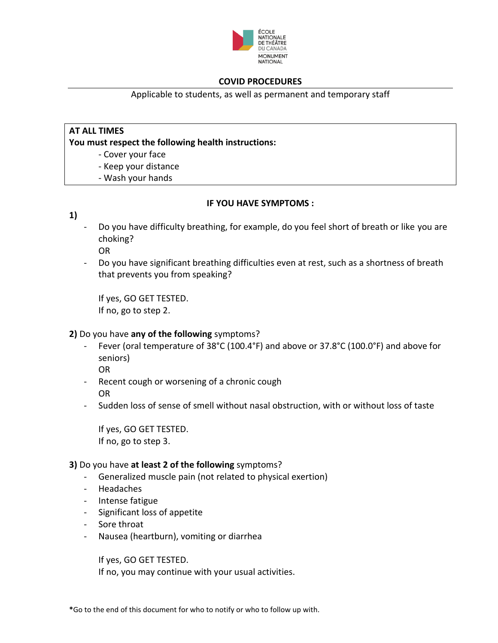

Applicable to students, as well as permanent and temporary staff

### **AT ALL TIMES**

**You must respect the following health instructions:**

- Cover your face
- Keep your distance
- Wash your hands

### **IF YOU HAVE SYMPTOMS :**

- **1)**
- Do you have difficulty breathing, for example, do you feel short of breath or like you are choking? OR
- Do you have significant breathing difficulties even at rest, such as a shortness of breath that prevents you from speaking?

If yes, GO GET TESTED. If no, go to step 2.

# **2)** Do you have **any of the following** symptoms?

Fever (oral temperature of 38°C (100.4°F) and above or 37.8°C (100.0°F) and above for seniors)

OR

- Recent cough or worsening of a chronic cough OR
- Sudden loss of sense of smell without nasal obstruction, with or without loss of taste

If yes, GO GET TESTED. If no, go to step 3.

#### **3)** Do you have **at least 2 of the following** symptoms?

- Generalized muscle pain (not related to physical exertion)
- **Headaches**
- Intense fatigue
- Significant loss of appetite
- Sore throat
- Nausea (heartburn), vomiting or diarrhea

If yes, GO GET TESTED. If no, you may continue with your usual activities.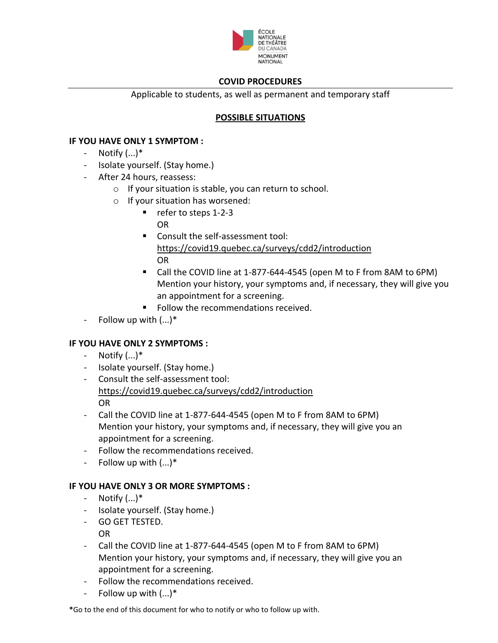

Applicable to students, as well as permanent and temporary staff

# **POSSIBLE SITUATIONS**

# **IF YOU HAVE ONLY 1 SYMPTOM :**

- Notify  $(...)^*$
- Isolate yourself. (Stay home.)
- After 24 hours, reassess:
	- o If your situation is stable, you can return to school.
	- o If your situation has worsened:
		- refer to steps 1-2-3
			- OR
		- Consult the self-assessment tool: <https://covid19.quebec.ca/surveys/cdd2/introduction> OR
		- Call the COVID line at 1-877-644-4545 (open M to F from 8AM to 6PM) Mention your history, your symptoms and, if necessary, they will give you an appointment for a screening.
		- Follow the recommendations received.
- Follow up with  $(...)^*$

# **IF YOU HAVE ONLY 2 SYMPTOMS :**

- Notify  $(...)^*$
- Isolate yourself. (Stay home.)
- Consult the self-assessment tool: <https://covid19.quebec.ca/surveys/cdd2/introduction> OR
- Call the COVID line at 1-877-644-4545 (open M to F from 8AM to 6PM) Mention your history, your symptoms and, if necessary, they will give you an appointment for a screening.
- Follow the recommendations received.
- Follow up with (...)\*

# **IF YOU HAVE ONLY 3 OR MORE SYMPTOMS :**

- $-$  Notify  $(...)^*$
- Isolate yourself. (Stay home.)
- GO GET TESTED.
- OR
- Call the COVID line at 1-877-644-4545 (open M to F from 8AM to 6PM) Mention your history, your symptoms and, if necessary, they will give you an appointment for a screening.
- Follow the recommendations received.
- Follow up with  $(...)^*$

**\***Go to the end of this document for who to notify or who to follow up with.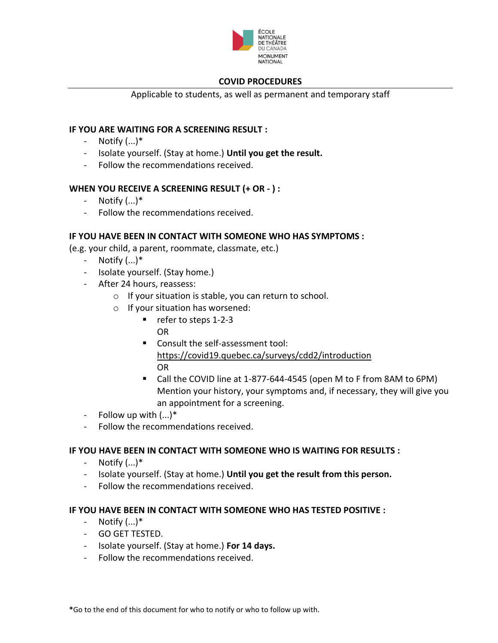

Applicable to students, as well as permanent and temporary staff

# **IF YOU ARE WAITING FOR A SCREENING RESULT :**

- Notify  $(...)^*$
- Isolate yourself. (Stay at home.) **Until you get the result.**
- Follow the recommendations received.

# **WHEN YOU RECEIVE A SCREENING RESULT (+ OR - ) :**

- $-$  Notify  $(...)^*$
- Follow the recommendations received.

### **IF YOU HAVE BEEN IN CONTACT WITH SOMEONE WHO HAS SYMPTOMS :**

(e.g. your child, a parent, roommate, classmate, etc.)

- Notify (...)\*
- Isolate yourself. (Stay home.)
- After 24 hours, reassess:
	- o If your situation is stable, you can return to school.
	- o If your situation has worsened:
		- refer to steps 1-2-3
			- OR
		- Consult the self-assessment tool: <https://covid19.quebec.ca/surveys/cdd2/introduction> OR
		- Call the COVID line at 1-877-644-4545 (open M to F from 8AM to 6PM) Mention your history, your symptoms and, if necessary, they will give you an appointment for a screening.
- Follow up with (...)\*
- Follow the recommendations received.

# **IF YOU HAVE BEEN IN CONTACT WITH SOMEONE WHO IS WAITING FOR RESULTS :**

- Notify (...)\*
- Isolate yourself. (Stay at home.) **Until you get the result from this person.**
- Follow the recommendations received.

# **IF YOU HAVE BEEN IN CONTACT WITH SOMEONE WHO HAS TESTED POSITIVE :**

- $-$  Notify  $(...)^*$
- GO GET TESTED.
- Isolate yourself. (Stay at home.) **For 14 days.**
- Follow the recommendations received.